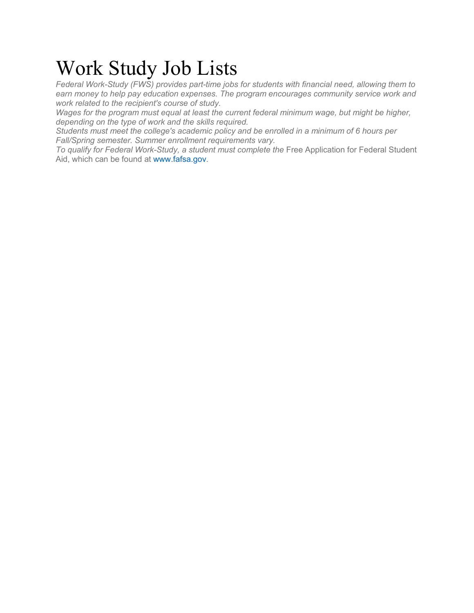# Work Study Job Lists

*Federal Work-Study (FWS) provides part-time jobs for students with financial need, allowing them to earn money to help pay education expenses. The program encourages community service work and work related to the recipient's course of study.*

*Wages for the program must equal at least the current federal minimum wage, but might be higher, depending on the type of work and the skills required.*

*Students must meet the college's academic policy and be enrolled in a minimum of 6 hours per Fall/Spring semester. Summer enrollment requirements vary.*

To qualify for Federal Work-Study, a student must complete the Free Application for Federal Student Aid, which can be found at www.fafsa.gov.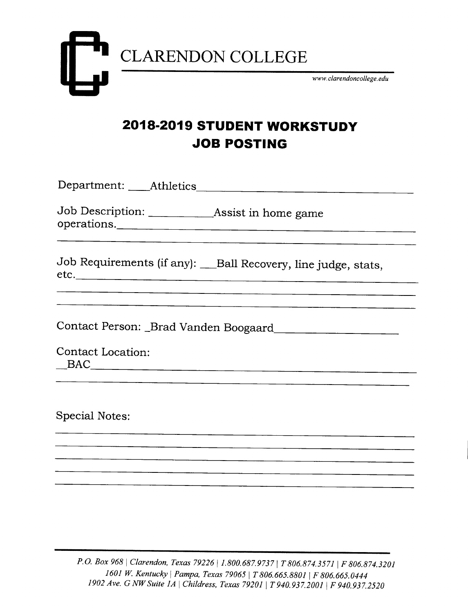

# **2018-2019 STUDENT WORKSTUDY JOB POSTING**

| Job Description: ________________Assist in home game<br>operations. |
|---------------------------------------------------------------------|
| Job Requirements (if any): __Ball Recovery, line judge, stats,      |
|                                                                     |
|                                                                     |
| <b>Contact Location:</b><br>$\text{BAC}$                            |
|                                                                     |
| <b>Special Notes:</b>                                               |
|                                                                     |
|                                                                     |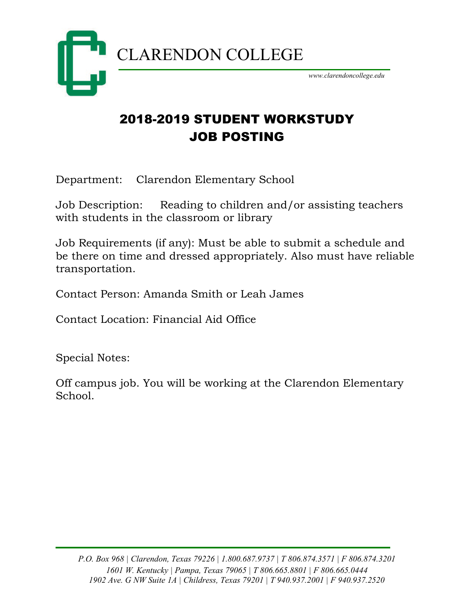

# 2018-2019 STUDENT WORKSTUDY JOB POSTING

Department: Clarendon Elementary School

Job Description: Reading to children and/or assisting teachers with students in the classroom or library

Job Requirements (if any): Must be able to submit a schedule and be there on time and dressed appropriately. Also must have reliable transportation.

Contact Person: Amanda Smith or Leah James

Contact Location: Financial Aid Office

Special Notes:

Off campus job. You will be working at the Clarendon Elementary School.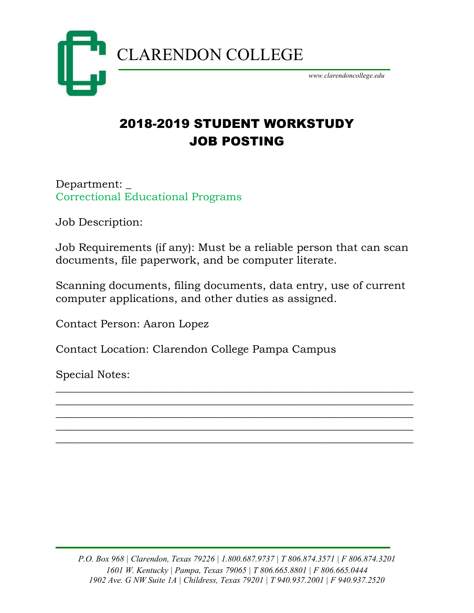

# 2018-2019 STUDENT WORKSTUDY JOB POSTING

Department: \_ Correctional Educational Programs

Job Description:

Job Requirements (if any): Must be a reliable person that can scan documents, file paperwork, and be computer literate.

Scanning documents, filing documents, data entry, use of current computer applications, and other duties as assigned.

\_\_\_\_\_\_\_\_\_\_\_\_\_\_\_\_\_\_\_\_\_\_\_\_\_\_\_\_\_\_\_\_\_\_\_\_\_\_\_\_\_\_\_\_\_\_\_\_\_\_\_\_\_\_\_\_\_\_\_\_\_\_\_\_\_\_ \_\_\_\_\_\_\_\_\_\_\_\_\_\_\_\_\_\_\_\_\_\_\_\_\_\_\_\_\_\_\_\_\_\_\_\_\_\_\_\_\_\_\_\_\_\_\_\_\_\_\_\_\_\_\_\_\_\_\_\_\_\_\_\_\_\_ \_\_\_\_\_\_\_\_\_\_\_\_\_\_\_\_\_\_\_\_\_\_\_\_\_\_\_\_\_\_\_\_\_\_\_\_\_\_\_\_\_\_\_\_\_\_\_\_\_\_\_\_\_\_\_\_\_\_\_\_\_\_\_\_\_\_ \_\_\_\_\_\_\_\_\_\_\_\_\_\_\_\_\_\_\_\_\_\_\_\_\_\_\_\_\_\_\_\_\_\_\_\_\_\_\_\_\_\_\_\_\_\_\_\_\_\_\_\_\_\_\_\_\_\_\_\_\_\_\_\_\_\_ \_\_\_\_\_\_\_\_\_\_\_\_\_\_\_\_\_\_\_\_\_\_\_\_\_\_\_\_\_\_\_\_\_\_\_\_\_\_\_\_\_\_\_\_\_\_\_\_\_\_\_\_\_\_\_\_\_\_\_\_\_\_\_\_\_\_

Contact Person: Aaron Lopez

Contact Location: Clarendon College Pampa Campus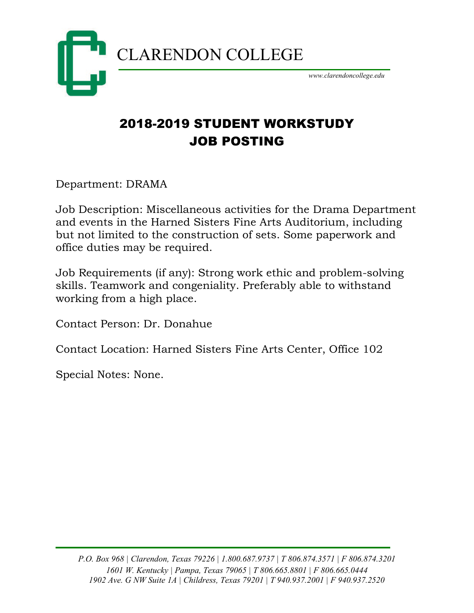

# 2018-2019 STUDENT WORKSTUDY JOB POSTING

Department: DRAMA

Job Description: Miscellaneous activities for the Drama Department and events in the Harned Sisters Fine Arts Auditorium, including but not limited to the construction of sets. Some paperwork and office duties may be required.

Job Requirements (if any): Strong work ethic and problem-solving skills. Teamwork and congeniality. Preferably able to withstand working from a high place.

Contact Person: Dr. Donahue

Contact Location: Harned Sisters Fine Arts Center, Office 102

Special Notes: None.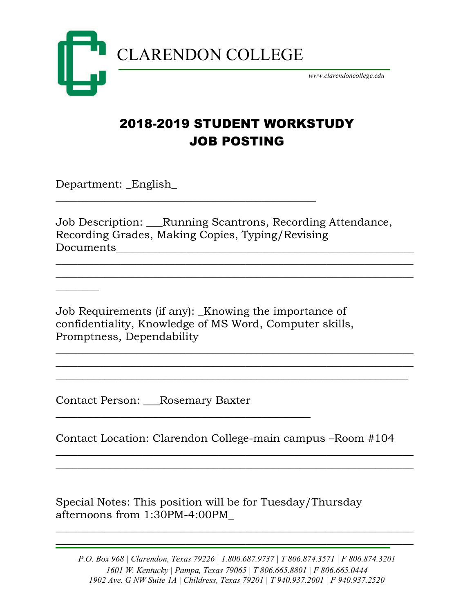

\_\_\_\_\_\_\_\_\_\_\_\_\_\_\_\_\_\_\_\_\_\_\_\_\_\_\_\_\_\_\_\_\_\_\_\_\_\_\_\_\_\_\_\_\_\_\_\_

*www.clarendoncollege.edu*

# 2018-2019 STUDENT WORKSTUDY JOB POSTING

Department: \_English\_

 $\overline{\phantom{a}}$ 

Job Description: \_\_\_Running Scantrons, Recording Attendance, Recording Grades, Making Copies, Typing/Revising Documents\_\_\_\_\_\_\_\_\_\_\_\_\_\_\_\_\_\_\_\_\_\_\_\_\_\_\_\_\_\_\_\_\_\_\_\_\_\_\_\_\_\_\_\_\_\_\_\_\_\_\_\_\_\_\_

 $\overline{\phantom{a}}$  , and the contract of the contract of the contract of the contract of the contract of the contract of the contract of the contract of the contract of the contract of the contract of the contract of the contrac  $\overline{\phantom{a}}$  , and the contract of the contract of the contract of the contract of the contract of the contract of the contract of the contract of the contract of the contract of the contract of the contract of the contrac

 $\overline{\phantom{a}}$  , and the contract of the contract of the contract of the contract of the contract of the contract of the contract of the contract of the contract of the contract of the contract of the contract of the contrac \_\_\_\_\_\_\_\_\_\_\_\_\_\_\_\_\_\_\_\_\_\_\_\_\_\_\_\_\_\_\_\_\_\_\_\_\_\_\_\_\_\_\_\_\_\_\_\_\_\_\_\_\_\_\_\_\_\_\_\_\_\_\_\_\_\_ \_\_\_\_\_\_\_\_\_\_\_\_\_\_\_\_\_\_\_\_\_\_\_\_\_\_\_\_\_\_\_\_\_\_\_\_\_\_\_\_\_\_\_\_\_\_\_\_\_\_\_\_\_\_\_\_\_\_\_\_\_\_\_\_\_

Job Requirements (if any): Knowing the importance of confidentiality, Knowledge of MS Word, Computer skills, Promptness, Dependability

Contact Person: \_\_\_Rosemary Baxter

\_\_\_\_\_\_\_\_\_\_\_\_\_\_\_\_\_\_\_\_\_\_\_\_\_\_\_\_\_\_\_\_\_\_\_\_\_\_\_\_\_\_\_\_\_\_\_

Contact Location: Clarendon College-main campus –Room #104

\_\_\_\_\_\_\_\_\_\_\_\_\_\_\_\_\_\_\_\_\_\_\_\_\_\_\_\_\_\_\_\_\_\_\_\_\_\_\_\_\_\_\_\_\_\_\_\_\_\_\_\_\_\_\_\_\_\_\_\_\_\_\_\_\_\_  $\overline{\phantom{a}}$  , and the contract of the contract of the contract of the contract of the contract of the contract of the contract of the contract of the contract of the contract of the contract of the contract of the contrac

Special Notes: This position will be for Tuesday/Thursday afternoons from 1:30PM-4:00PM\_

*P.O. Box 968 | Clarendon, Texas 79226 | 1.800.687.9737 | T 806.874.3571 | F 806.874.3201 1601 W. Kentucky | Pampa, Texas 79065 | T 806.665.8801 | F 806.665.0444 1902 Ave. G NW Suite 1A | Childress, Texas 79201 | T 940.937.2001 | F 940.937.2520*

 $\overline{\phantom{a}}$  , and the contract of the contract of the contract of the contract of the contract of the contract of the contract of the contract of the contract of the contract of the contract of the contract of the contrac

 $\mathcal{L}_\mathcal{L}$  , and the contribution of the contribution of the contribution of the contribution of the contribution of the contribution of the contribution of the contribution of the contribution of the contribution of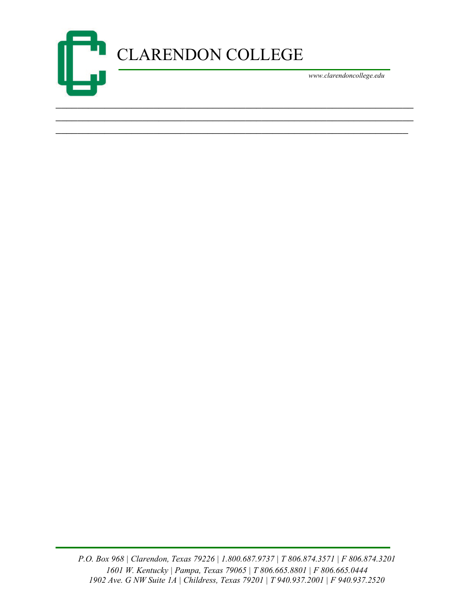

\_\_\_\_\_\_\_\_\_\_\_\_\_\_\_\_\_\_\_\_\_\_\_\_\_\_\_\_\_\_\_\_\_\_\_\_\_\_\_\_\_\_\_\_\_\_\_\_\_\_\_\_\_\_\_\_\_\_\_\_\_\_\_\_\_\_ \_\_\_\_\_\_\_\_\_\_\_\_\_\_\_\_\_\_\_\_\_\_\_\_\_\_\_\_\_\_\_\_\_\_\_\_\_\_\_\_\_\_\_\_\_\_\_\_\_\_\_\_\_\_\_\_\_\_\_\_\_\_\_\_\_

*P.O. Box 968 | Clarendon, Texas 79226 | 1.800.687.9737 | T 806.874.3571 | F 806.874.3201 1601 W. Kentucky | Pampa, Texas 79065 | T 806.665.8801 | F 806.665.0444 1902 Ave. G NW Suite 1A | Childress, Texas 79201 | T 940.937.2001 | F 940.937.2520*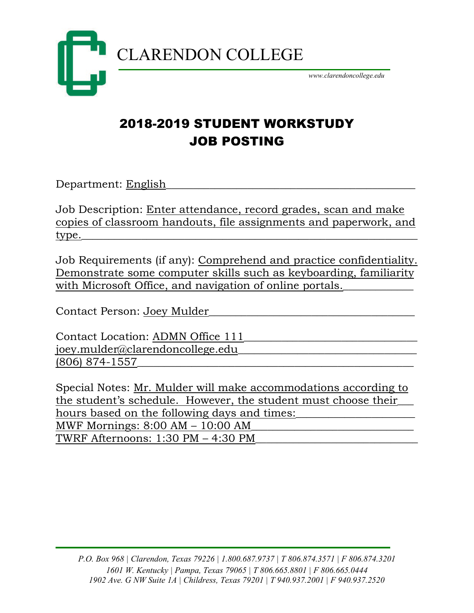

# 2018-2019 STUDENT WORKSTUDY JOB POSTING

Department: English

Job Description: Enter attendance, record grades, scan and make copies of classroom handouts, file assignments and paperwork, and type.\_\_\_\_\_\_\_\_\_\_\_\_\_\_\_\_\_\_\_\_\_\_\_\_\_\_\_\_\_\_\_\_\_\_\_\_\_\_\_\_\_\_\_\_\_\_\_\_\_\_\_\_\_\_\_\_\_\_\_\_\_\_

Job Requirements (if any): Comprehend and practice confidentiality. Demonstrate some computer skills such as keyboarding, familiarity with Microsoft Office, and navigation of online portals.

Contact Person: Joey Mulder\_\_\_\_\_\_\_\_\_\_\_\_\_\_\_\_\_\_\_\_\_\_\_\_\_\_\_\_\_\_\_\_\_\_\_\_\_\_

Contact Location: ADMN Office 111 joey.mulder@clarendoncollege.edu (806) 874-1557\_\_\_\_\_\_\_\_\_\_\_\_\_\_\_\_\_\_\_\_\_\_\_\_\_\_\_\_\_\_\_\_\_\_\_\_\_\_\_\_\_\_\_\_\_\_\_\_\_\_\_

Special Notes: Mr. Mulder will make accommodations according to the student's schedule. However, the student must choose their\_\_\_ hours based on the following days and times: MWF Mornings:  $8:00$  AM  $-10:00$  AM TWRF Afternoons: 1:30 PM - 4:30 PM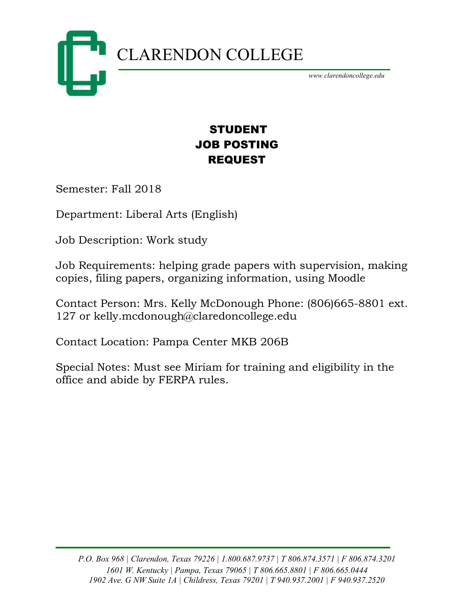

### STUDENT JOB POSTING REQUEST

Semester: Fall 2018

Department: Liberal Arts (English)

Job Description: Work study

Job Requirements: helping grade papers with supervision, making copies, filing papers, organizing information, using Moodle

Contact Person: Mrs. Kelly McDonough Phone: (806)665-8801 ext. 127 or kelly.mcdonough@claredoncollege.edu

Contact Location: Pampa Center MKB 206B

Special Notes: Must see Miriam for training and eligibility in the office and abide by FERPA rules.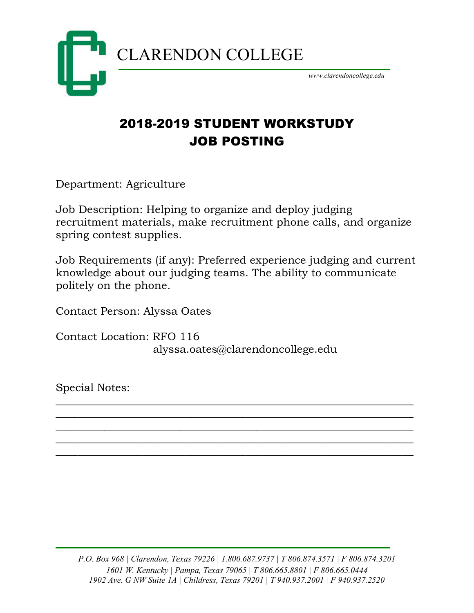

# 2018-2019 STUDENT WORKSTUDY JOB POSTING

Department: Agriculture

Job Description: Helping to organize and deploy judging recruitment materials, make recruitment phone calls, and organize spring contest supplies.

Job Requirements (if any): Preferred experience judging and current knowledge about our judging teams. The ability to communicate politely on the phone.

 $\overline{\phantom{a}}$  , and the contract of the contract of the contract of the contract of the contract of the contract of the contract of the contract of the contract of the contract of the contract of the contract of the contrac  $\overline{\phantom{a}}$  , and the contract of the contract of the contract of the contract of the contract of the contract of the contract of the contract of the contract of the contract of the contract of the contract of the contrac  $\overline{\phantom{a}}$  , and the contract of the contract of the contract of the contract of the contract of the contract of the contract of the contract of the contract of the contract of the contract of the contract of the contrac  $\overline{\phantom{a}}$  , and the contract of the contract of the contract of the contract of the contract of the contract of the contract of the contract of the contract of the contract of the contract of the contract of the contrac \_\_\_\_\_\_\_\_\_\_\_\_\_\_\_\_\_\_\_\_\_\_\_\_\_\_\_\_\_\_\_\_\_\_\_\_\_\_\_\_\_\_\_\_\_\_\_\_\_\_\_\_\_\_\_\_\_\_\_\_\_\_\_\_\_\_

Contact Person: Alyssa Oates

Contact Location: RFO 116 alyssa.oates@clarendoncollege.edu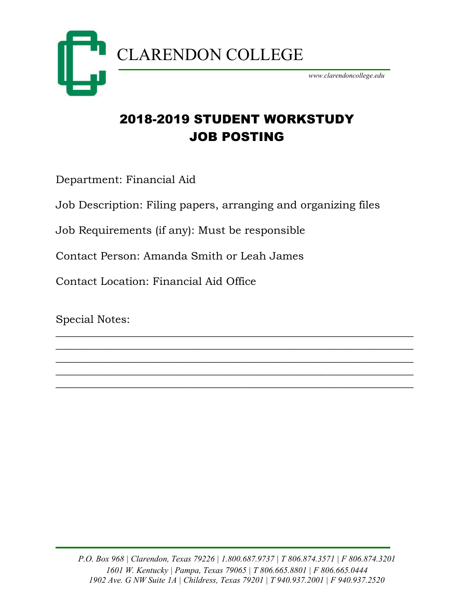

# 2018-2019 STUDENT WORKSTUDY JOB POSTING

Department: Financial Aid

Job Description: Filing papers, arranging and organizing files

 $\overline{\phantom{a}}$  , and the contract of the contract of the contract of the contract of the contract of the contract of the contract of the contract of the contract of the contract of the contract of the contract of the contrac  $\overline{\phantom{a}}$  , and the contract of the contract of the contract of the contract of the contract of the contract of the contract of the contract of the contract of the contract of the contract of the contract of the contrac \_\_\_\_\_\_\_\_\_\_\_\_\_\_\_\_\_\_\_\_\_\_\_\_\_\_\_\_\_\_\_\_\_\_\_\_\_\_\_\_\_\_\_\_\_\_\_\_\_\_\_\_\_\_\_\_\_\_\_\_\_\_\_\_\_\_ \_\_\_\_\_\_\_\_\_\_\_\_\_\_\_\_\_\_\_\_\_\_\_\_\_\_\_\_\_\_\_\_\_\_\_\_\_\_\_\_\_\_\_\_\_\_\_\_\_\_\_\_\_\_\_\_\_\_\_\_\_\_\_\_\_\_ \_\_\_\_\_\_\_\_\_\_\_\_\_\_\_\_\_\_\_\_\_\_\_\_\_\_\_\_\_\_\_\_\_\_\_\_\_\_\_\_\_\_\_\_\_\_\_\_\_\_\_\_\_\_\_\_\_\_\_\_\_\_\_\_\_\_

Job Requirements (if any): Must be responsible

Contact Person: Amanda Smith or Leah James

Contact Location: Financial Aid Office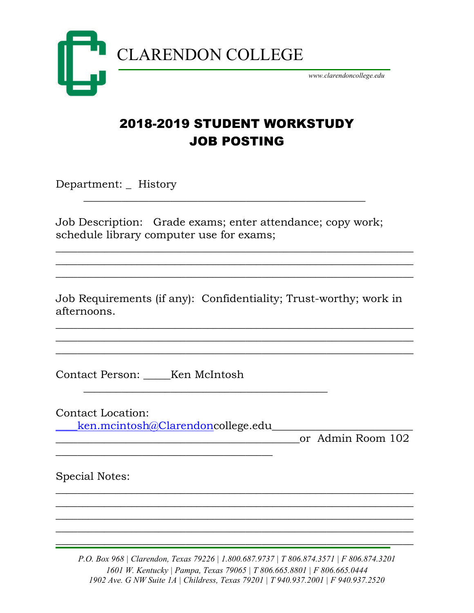

## 2018-2019 STUDENT WORKSTUDY JOB POSTING

Department: \_ History

Job Description: Grade exams; enter attendance; copy work; schedule library computer use for exams;

\_\_\_\_\_\_\_\_\_\_\_\_\_\_\_\_\_\_\_\_\_\_\_\_\_\_\_\_\_\_\_\_\_\_\_\_\_\_\_\_\_\_\_\_\_\_\_\_\_\_\_\_

Job Requirements (if any): Confidentiality; Trust-worthy; work in afternoons.

\_\_\_\_\_\_\_\_\_\_\_\_\_\_\_\_\_\_\_\_\_\_\_\_\_\_\_\_\_\_\_\_\_\_\_\_\_\_\_\_\_\_\_\_\_

 $\overline{\phantom{a}}$  , and the contract of the contract of the contract of the contract of the contract of the contract of the contract of the contract of the contract of the contract of the contract of the contract of the contrac  $\overline{\phantom{a}}$  , and the contract of the contract of the contract of the contract of the contract of the contract of the contract of the contract of the contract of the contract of the contract of the contract of the contrac  $\overline{\phantom{a}}$  , and the contract of the contract of the contract of the contract of the contract of the contract of the contract of the contract of the contract of the contract of the contract of the contract of the contrac

 $\overline{\phantom{a}}$  , and the contract of the contract of the contract of the contract of the contract of the contract of the contract of the contract of the contract of the contract of the contract of the contract of the contrac  $\overline{\phantom{a}}$  , and the contract of the contract of the contract of the contract of the contract of the contract of the contract of the contract of the contract of the contract of the contract of the contract of the contrac  $\overline{\phantom{a}}$  , and the contract of the contract of the contract of the contract of the contract of the contract of the contract of the contract of the contract of the contract of the contract of the contract of the contrac

Contact Person: \_\_\_\_\_Ken McIntosh

Contact Location:

[\\_\\_\\_\\_ken.mcintosh@Clarendonc](mailto:____ken.mcintosh@Clarendon)ollege.edu\_\_\_\_\_\_\_\_\_\_\_\_\_\_\_\_\_\_\_\_\_\_\_\_\_\_

 $\overline{\phantom{a}}$  , where the contract of the contract of the contract of the contract of the contract of the contract of the contract of the contract of the contract of the contract of the contract of the contract of the contr

\_\_\_\_\_\_\_\_\_\_\_\_\_\_\_\_\_\_\_\_\_\_\_\_\_\_\_\_\_\_\_\_\_\_\_\_\_\_\_\_\_\_\_\_\_or Admin Room 102

Special Notes:

*P.O. Box 968 | Clarendon, Texas 79226 | 1.800.687.9737 | T 806.874.3571 | F 806.874.3201 1601 W. Kentucky | Pampa, Texas 79065 | T 806.665.8801 | F 806.665.0444 1902 Ave. G NW Suite 1A | Childress, Texas 79201 | T 940.937.2001 | F 940.937.2520*

 $\mathcal{L}=\{1,2,3,4\}$  , we can assume that  $\mathcal{L}=\{1,2,3,4\}$  , we can assume that  $\mathcal{L}=\{1,2,3,4\}$ 

\_\_\_\_\_\_\_\_\_\_\_\_\_\_\_\_\_\_\_\_\_\_\_\_\_\_\_\_\_\_\_\_\_\_\_\_\_\_\_\_\_\_\_\_\_\_\_\_\_\_\_\_\_\_\_\_\_\_\_\_\_\_\_\_\_\_ \_\_\_\_\_\_\_\_\_\_\_\_\_\_\_\_\_\_\_\_\_\_\_\_\_\_\_\_\_\_\_\_\_\_\_\_\_\_\_\_\_\_\_\_\_\_\_\_\_\_\_\_\_\_\_\_\_\_\_\_\_\_\_\_\_\_ \_\_\_\_\_\_\_\_\_\_\_\_\_\_\_\_\_\_\_\_\_\_\_\_\_\_\_\_\_\_\_\_\_\_\_\_\_\_\_\_\_\_\_\_\_\_\_\_\_\_\_\_\_\_\_\_\_\_\_\_\_\_\_\_\_\_ \_\_\_\_\_\_\_\_\_\_\_\_\_\_\_\_\_\_\_\_\_\_\_\_\_\_\_\_\_\_\_\_\_\_\_\_\_\_\_\_\_\_\_\_\_\_\_\_\_\_\_\_\_\_\_\_\_\_\_\_\_\_\_\_\_\_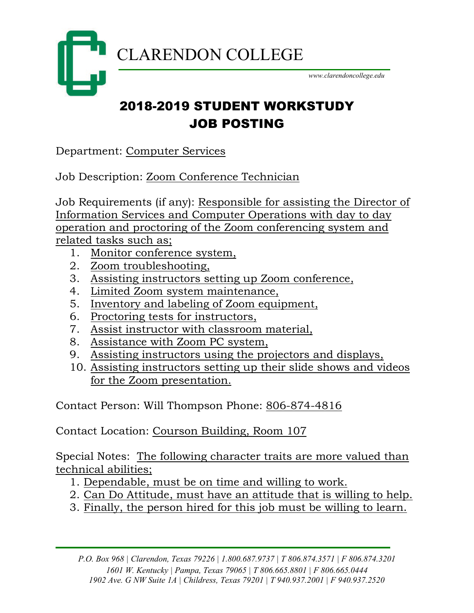

# 2018-2019 STUDENT WORKSTUDY JOB POSTING

Department: Computer Services

Job Description: Zoom Conference Technician

Job Requirements (if any): Responsible for assisting the Director of Information Services and Computer Operations with day to day operation and proctoring of the Zoom conferencing system and related tasks such as;

- 1. Monitor conference system,
- 2. Zoom troubleshooting,
- 3. Assisting instructors setting up Zoom conference,
- 4. Limited Zoom system maintenance,
- 5. Inventory and labeling of Zoom equipment,
- 6. Proctoring tests for instructors,
- 7. Assist instructor with classroom material,
- 8. Assistance with Zoom PC system,
- 9. Assisting instructors using the projectors and displays,
- 10. Assisting instructors setting up their slide shows and videos for the Zoom presentation.

Contact Person: Will Thompson Phone: 806-874-4816

Contact Location: Courson Building, Room 107

Special Notes: The following character traits are more valued than technical abilities;

- 1. Dependable, must be on time and willing to work.
- 2. Can Do Attitude, must have an attitude that is willing to help.
- 3. Finally, the person hired for this job must be willing to learn.

*P.O. Box 968 | Clarendon, Texas 79226 | 1.800.687.9737 | T 806.874.3571 | F 806.874.3201 1601 W. Kentucky | Pampa, Texas 79065 | T 806.665.8801 | F 806.665.0444 1902 Ave. G NW Suite 1A | Childress, Texas 79201 | T 940.937.2001 | F 940.937.2520*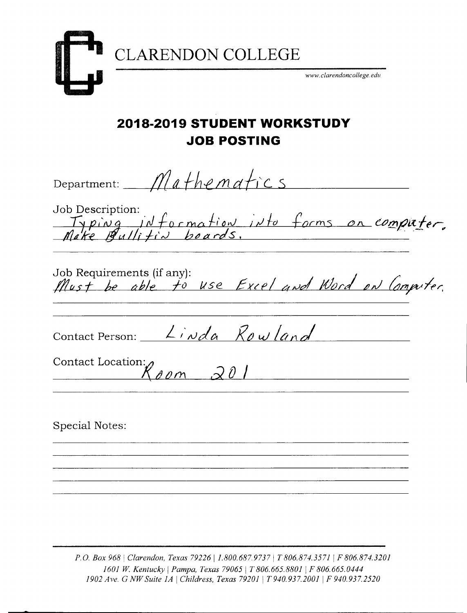

CLARENDON COLLEGE

*www.clarendoncollege.edu*

## **2018-2019 STUDENT WORKSTUDY JOB POSTING**

Department:  $M$  a the m atics Job Description: ob Description:<br>Typing information into forms on computer,<br>Make Bullitin boards, Job Requirements (ifany): *J \$el'£ t he aide i~l lise 6~fl dttJd l(/aleL tit! t;;ryv~r; Contact Person: <u>Linda Rowland</u>* Contact Location:  $K$ *oom 201* 

Special Notes:

*P.G. Box* <sup>9681</sup> *Clarendon, Texas 7922611.800.687.97371 T 806.874.3571* <sup>1</sup> *F 806.874.3201 1601 W. Kentucky* <sup>1</sup> *Pampa, Texas 790651 T 806.665.8801* <sup>1</sup> *F 806.665.0444 1902Ave.* G *NW Suite 1A* <sup>1</sup> *Childress, Texas 79201* <sup>1</sup> *T 940.937.2001* <sup>1</sup> *F 940.937.2520*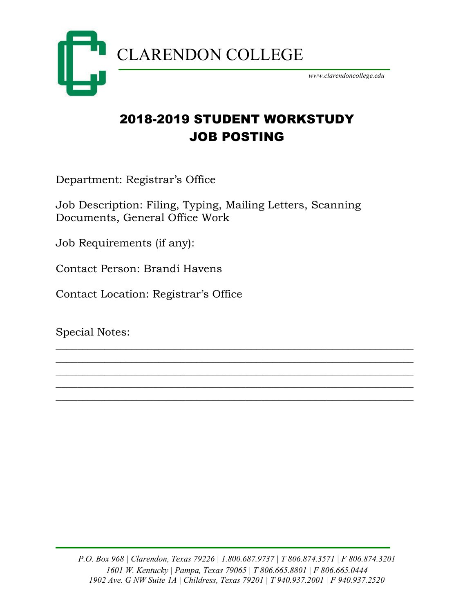

# 2018-2019 STUDENT WORKSTUDY JOB POSTING

Department: Registrar's Office

Job Description: Filing, Typing, Mailing Letters, Scanning Documents, General Office Work

Job Requirements (if any):

Contact Person: Brandi Havens

Contact Location: Registrar's Office

Special Notes:

 $\overline{\phantom{a}}$  , and the contract of the contract of the contract of the contract of the contract of the contract of the contract of the contract of the contract of the contract of the contract of the contract of the contrac \_\_\_\_\_\_\_\_\_\_\_\_\_\_\_\_\_\_\_\_\_\_\_\_\_\_\_\_\_\_\_\_\_\_\_\_\_\_\_\_\_\_\_\_\_\_\_\_\_\_\_\_\_\_\_\_\_\_\_\_\_\_\_\_\_\_ \_\_\_\_\_\_\_\_\_\_\_\_\_\_\_\_\_\_\_\_\_\_\_\_\_\_\_\_\_\_\_\_\_\_\_\_\_\_\_\_\_\_\_\_\_\_\_\_\_\_\_\_\_\_\_\_\_\_\_\_\_\_\_\_\_\_ \_\_\_\_\_\_\_\_\_\_\_\_\_\_\_\_\_\_\_\_\_\_\_\_\_\_\_\_\_\_\_\_\_\_\_\_\_\_\_\_\_\_\_\_\_\_\_\_\_\_\_\_\_\_\_\_\_\_\_\_\_\_\_\_\_\_  $\overline{\phantom{a}}$  , and the contract of the contract of the contract of the contract of the contract of the contract of the contract of the contract of the contract of the contract of the contract of the contract of the contrac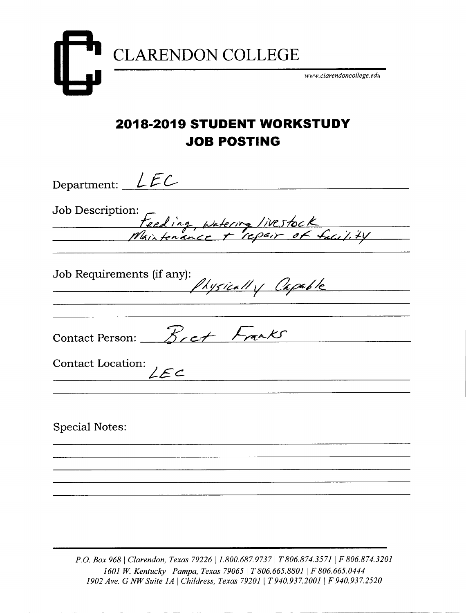

### **2018-2019 STUDENT WORKSTUDY JOB POSTING**

Department:  $LFC$ Job Description: Heeding, watering livestock<br>Maintenance + repair of facility Job Requirements (if any): Physically Capable Contact Person:  $B_{rct}$  Franks **Contact Location: )** *?-EC* **Special Notes:**

*P.D. Box* <sup>9681</sup> *Clarendon, Texas 7922611.800.687.97371 T 806.874.3571* <sup>1</sup>*F 806.874.3201 1601 W. Kentucky* <sup>1</sup> *Pampa, Texas 790651 T 806.665.8801* <sup>1</sup> *F 806.665.0444 1902Ave.* G *NW Suite 1A* <sup>1</sup>*Childress, Texas 79201* <sup>1</sup> *T 940.937.2001* <sup>1</sup> *F 940.937.2520*

- - - --------- --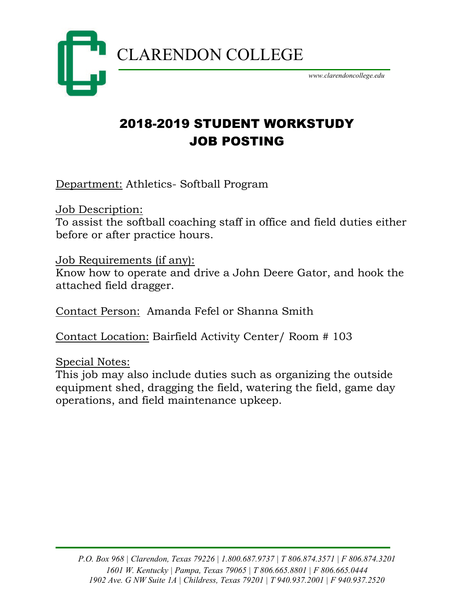

# 2018-2019 STUDENT WORKSTUDY JOB POSTING

Department: Athletics- Softball Program

Job Description: To assist the softball coaching staff in office and field duties either before or after practice hours.

Job Requirements (if any):

Know how to operate and drive a John Deere Gator, and hook the attached field dragger.

Contact Person: Amanda Fefel or Shanna Smith

Contact Location: Bairfield Activity Center/ Room # 103

Special Notes:

This job may also include duties such as organizing the outside equipment shed, dragging the field, watering the field, game day operations, and field maintenance upkeep.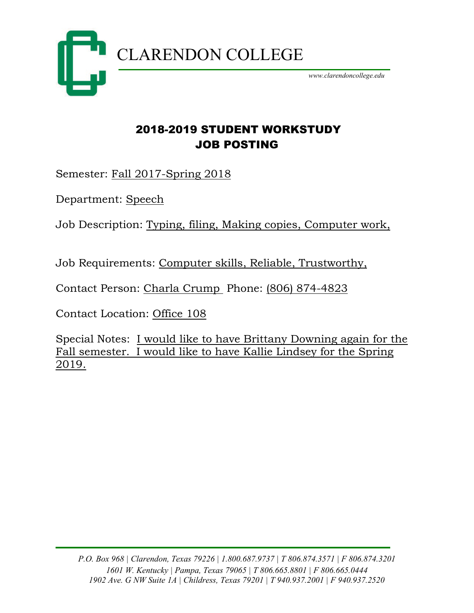

#### 2018-2019 STUDENT WORKSTUDY JOB POSTING

Semester: Fall 2017-Spring 2018

Department: Speech

Job Description: Typing, filing, Making copies, Computer work,

Job Requirements: Computer skills, Reliable, Trustworthy,

Contact Person: Charla Crump Phone: (806) 874-4823

Contact Location: Office 108

Special Notes: I would like to have Brittany Downing again for the Fall semester. I would like to have Kallie Lindsey for the Spring 2019.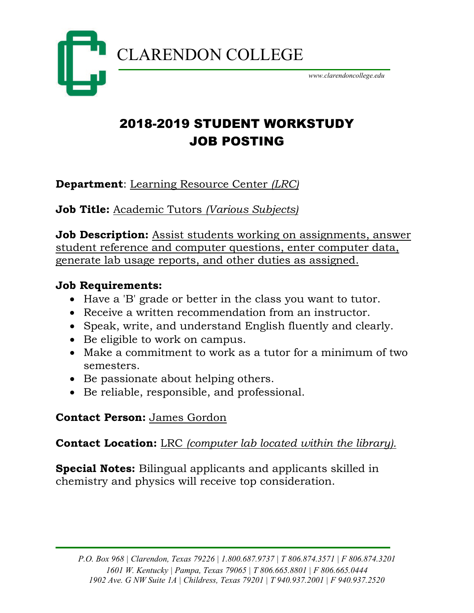

# 2018-2019 STUDENT WORKSTUDY JOB POSTING

**Department**: Learning Resource Center *(LRC)*

**Job Title:** Academic Tutors *(Various Subjects)*

**Job Description:** Assist students working on assignments, answer student reference and computer questions, enter computer data, generate lab usage reports, and other duties as assigned.

#### **Job Requirements:**

- Have a 'B' grade or better in the class you want to tutor.
- Receive a written recommendation from an instructor.
- Speak, write, and understand English fluently and clearly.
- Be eligible to work on campus.
- Make a commitment to work as a tutor for a minimum of two semesters.
- Be passionate about helping others.
- Be reliable, responsible, and professional.

#### **Contact Person:** James Gordon

#### **Contact Location:** LRC *(computer lab located within the library).*

**Special Notes:** Bilingual applicants and applicants skilled in chemistry and physics will receive top consideration.